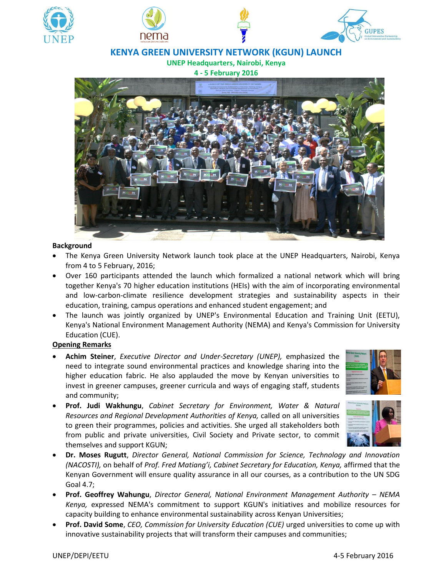

# **KENYA GREEN UNIVERSITY NETWORK (KGUN) LAUNCH**

**UNEP Headquarters, Nairobi, Kenya**

**4 - 5 February 2016**



#### **Background**

- The Kenya Green University Network launch took place at the UNEP Headquarters, Nairobi, Kenya from 4 to 5 February, 2016;
- Over 160 participants attended the launch which formalized a national network which will bring together Kenya's 70 higher education institutions (HEIs) with the aim of incorporating environmental and low-carbon-climate resilience development strategies and sustainability aspects in their education, training, campus operations and enhanced student engagement; and
- The launch was jointly organized by UNEP's Environmental Education and Training Unit (EETU), Kenya's National Environment Management Authority (NEMA) and Kenya's Commission for University Education (CUE).

#### **Opening Remarks**

- **Achim Steiner**, *Executive Director and Under-Secretary (UNEP),* emphasized the need to integrate sound environmental practices and knowledge sharing into the higher education fabric. He also applauded the move by Kenyan universities to invest in greener campuses, greener curricula and ways of engaging staff, students and community;
- 
- **Prof. Judi Wakhungu**, *Cabinet Secretary for Environment, Water & Natural Resources and Regional Development Authorities of Kenya,* called on all universities to green their programmes, policies and activities. She urged all stakeholders both from public and private universities, Civil Society and Private sector, to commit themselves and support KGUN;



- **Dr. Moses Rugutt**, *Director General, National Commission for Science, Technology and Innovation (NACOSTI)*, on behalf of *Prof. Fred Matiang'i, Cabinet Secretary for Education, Kenya, affirmed that the* Kenyan Government will ensure quality assurance in all our courses, as a contribution to the UN SDG Goal 4.7;
- **Prof. Geoffrey Wahungu**, Director General, National Environment Management Authority NEMA *Kenya,* expressed NEMA's commitment to support KGUN's initiatives and mobilize resources for capacity building to enhance environmental sustainability across Kenyan Universities;
- **Prof. David Some**, *CEO, Commission for University Education (CUE)* urged universities to come up with innovative sustainability projects that will transform their campuses and communities;